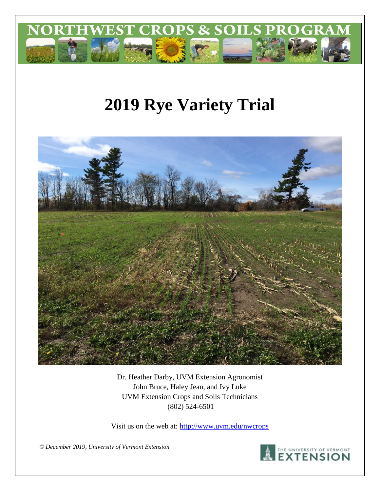

# **2019 Rye Variety Trial**



Dr. Heather Darby, UVM Extension Agronomist John Bruce, Haley Jean, and Ivy Luke UVM Extension Crops and Soils Technicians (802) 524-6501

Visit us on the web at:<http://www.uvm.edu/nwcrops>

*© December 2019, University of Vermont Extension*

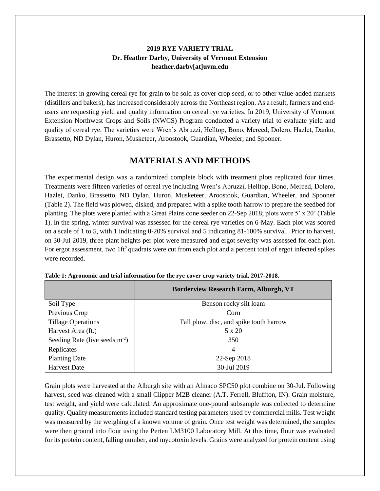#### **2019 RYE VARIETY TRIAL Dr. Heather Darby, University of Vermont Extension heather.darby[at]uvm.edu**

The interest in growing cereal rye for grain to be sold as cover crop seed, or to other value-added markets (distillers and bakers), has increased considerably across the Northeast region. As a result, farmers and endusers are requesting yield and quality information on cereal rye varieties. In 2019, University of Vermont Extension Northwest Crops and Soils (NWCS) Program conducted a variety trial to evaluate yield and quality of cereal rye. The varieties were Wren's Abruzzi, Helltop, Bono, Merced, Dolero, Hazlet, Danko, Brassetto, ND Dylan, Huron, Musketeer, Aroostook, Guardian, Wheeler, and Spooner.

## **MATERIALS AND METHODS**

The experimental design was a randomized complete block with treatment plots replicated four times. Treatments were fifteen varieties of cereal rye including Wren's Abruzzi, Helltop, Bono, Merced, Dolero, Hazlet, Danko, Brassetto, ND Dylan, Huron, Musketeer, Aroostook, Guardian, Wheeler, and Spooner (Table 2). The field was plowed, disked, and prepared with a spike tooth harrow to prepare the seedbed for planting. The plots were planted with a Great Plains cone seeder on 22-Sep 2018; plots were 5' x 20' (Table 1). In the spring, winter survival was assessed for the cereal rye varieties on 6-May. Each plot was scored on a scale of 1 to 5, with 1 indicating 0-20% survival and 5 indicating 81-100% survival. Prior to harvest, on 30-Jul 2019, three plant heights per plot were measured and ergot severity was assessed for each plot. For ergot assessment, two 1ft<sup>2</sup> quadrats were cut from each plot and a percent total of ergot infected spikes were recorded.

|                                 | <b>Borderview Research Farm, Alburgh, VT</b> |  |  |  |
|---------------------------------|----------------------------------------------|--|--|--|
| Soil Type                       | Benson rocky silt loam                       |  |  |  |
| Previous Crop                   | Corn                                         |  |  |  |
| <b>Tillage Operations</b>       | Fall plow, disc, and spike tooth harrow      |  |  |  |
| Harvest Area (ft.)              | $5 \times 20$                                |  |  |  |
| Seeding Rate (live seeds $m2$ ) | 350                                          |  |  |  |
| Replicates                      | 4                                            |  |  |  |
| <b>Planting Date</b>            | 22-Sep 2018                                  |  |  |  |
| <b>Harvest Date</b>             | 30-Jul 2019                                  |  |  |  |

| Table 1: Agronomic and trial information for the rye cover crop variety trial, 2017-2018. |  |  |
|-------------------------------------------------------------------------------------------|--|--|
|                                                                                           |  |  |
|                                                                                           |  |  |

Grain plots were harvested at the Alburgh site with an Almaco SPC50 plot combine on 30-Jul. Following harvest, seed was cleaned with a small Clipper M2B cleaner (A.T. Ferrell, Bluffton, IN). Grain moisture, test weight, and yield were calculated. An approximate one-pound subsample was collected to determine quality. Quality measurements included standard testing parameters used by commercial mills. Test weight was measured by the weighing of a known volume of grain. Once test weight was determined, the samples were then ground into flour using the Perten LM3100 Laboratory Mill. At this time, flour was evaluated for its protein content, falling number, and mycotoxin levels. Grains were analyzed for protein content using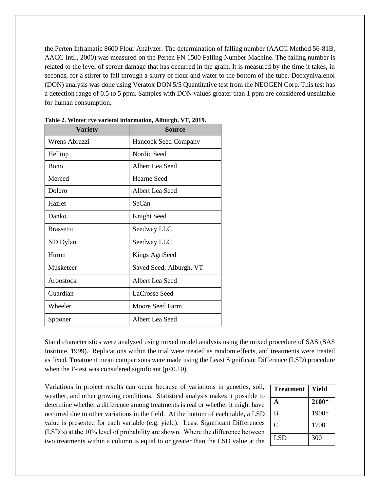the Perten Inframatic 8600 Flour Analyzer. The determination of falling number (AACC Method 56-81B, AACC Intl., 2000) was measured on the Perten FN 1500 Falling Number Machine. The falling number is related to the level of sprout damage that has occurred in the grain. It is measured by the time it takes, in seconds, for a stirrer to fall through a slurry of flour and water to the bottom of the tube. Deoxynivalenol (DON) analysis was done using Veratox DON 5/5 Quantitative test from the NEOGEN Corp. This test has a detection range of 0.5 to 5 ppm. Samples with DON values greater than 1 ppm are considered unsuitable for human consumption.

| <b>Variety</b>   | Source                      |
|------------------|-----------------------------|
| Wrens Abruzzi    | <b>Hancock Seed Company</b> |
| Helltop          | Nordic Seed                 |
| <b>Bono</b>      | Albert Lea Seed             |
| Merced           | Hearne Seed                 |
| Dolero           | Albert Lea Seed             |
| Hazlet           | SeCan                       |
| Danko            | Knight Seed                 |
| <b>Brassetto</b> | Seedway LLC                 |
| ND Dylan         | Seedway LLC                 |
| Huron            | Kings AgriSeed              |
| Musketeer        | Saved Seed; Alburgh, VT     |
| Aroostock        | Albert Lea Seed             |
| Guardian         | LaCrosse Seed               |
| Wheeler          | Moore Seed Farm             |
| Spooner          | Albert Lea Seed             |

**Table 2. Winter rye varietal information, Alburgh, VT, 2019.**

Stand characteristics were analyzed using mixed model analysis using the mixed procedure of SAS (SAS Institute, 1999). Replications within the trial were treated as random effects, and treatments were treated as fixed. Treatment mean comparisons were made using the Least Significant Difference (LSD) procedure when the F-test was considered significant  $(p<0.10)$ .

Variations in project results can occur because of variations in genetics, soil, weather, and other growing conditions. Statistical analysis makes it possible to determine whether a difference among treatments is real or whether it might have occurred due to other variations in the field. At the bottom of each table, a LSD value is presented for each variable (e.g. yield). Least Significant Differences (LSD's) at the 10% level of probability are shown. Where the difference between two treatments within a column is equal to or greater than the LSD value at the

| <b>Treatment</b> | Yield |
|------------------|-------|
| A                | 2100* |
| B                | 1900* |
| C                | 1700  |
| LSD <sub>1</sub> | 300   |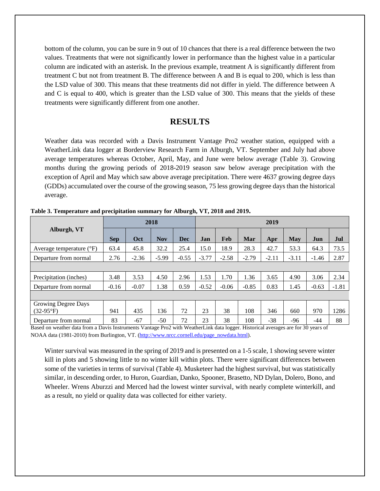bottom of the column, you can be sure in 9 out of 10 chances that there is a real difference between the two values. Treatments that were not significantly lower in performance than the highest value in a particular column are indicated with an asterisk. In the previous example, treatment A is significantly different from treatment C but not from treatment B. The difference between A and B is equal to 200, which is less than the LSD value of 300. This means that these treatments did not differ in yield. The difference between A and C is equal to 400, which is greater than the LSD value of 300. This means that the yields of these treatments were significantly different from one another.

#### **RESULTS**

Weather data was recorded with a Davis Instrument Vantage Pro2 weather station, equipped with a WeatherLink data logger at Borderview Research Farm in Alburgh, VT. September and July had above average temperatures whereas October, April, May, and June were below average (Table 3). Growing months during the growing periods of 2018-2019 season saw below average precipitation with the exception of April and May which saw above average precipitation. There were 4637 growing degree days (GDDs) accumulated over the course of the growing season, 75 less growing degree days than the historical average.

|                                   | 2018       |         |            | 2019       |         |         |         |         |         |         |         |
|-----------------------------------|------------|---------|------------|------------|---------|---------|---------|---------|---------|---------|---------|
| Alburgh, VT                       | <b>Sep</b> | Oct     | <b>Nov</b> | <b>Dec</b> | Jan     | Feb     | Mar     | Apr     | May     | Jun     | Jul     |
| Average temperature $(^{\circ}F)$ | 63.4       | 45.8    | 32.2       | 25.4       | 15.0    | 18.9    | 28.3    | 42.7    | 53.3    | 64.3    | 73.5    |
| Departure from normal             | 2.76       | $-2.36$ | $-5.99$    | $-0.55$    | $-3.77$ | $-2.58$ | $-2.79$ | $-2.11$ | $-3.11$ | $-1.46$ | 2.87    |
|                                   |            |         |            |            |         |         |         |         |         |         |         |
| Precipitation (inches)            | 3.48       | 3.53    | 4.50       | 2.96       | 1.53    | 1.70    | 1.36    | 3.65    | 4.90    | 3.06    | 2.34    |
| Departure from normal             | $-0.16$    | $-0.07$ | 1.38       | 0.59       | $-0.52$ | $-0.06$ | $-0.85$ | 0.83    | 1.45    | $-0.63$ | $-1.81$ |
|                                   |            |         |            |            |         |         |         |         |         |         |         |
| Growing Degree Days               |            |         |            |            |         |         |         |         |         |         |         |
| $(32-95^{\circ}F)$                | 941        | 435     | 136        | 72         | 23      | 38      | 108     | 346     | 660     | 970     | 1286    |
| Departure from normal             | 83         | $-67$   | $-50$      | 72         | 23      | 38      | 108     | $-38$   | $-96$   | $-44$   | 88      |

**Table 3. Temperature and precipitation summary for Alburgh, VT, 2018 and 2019.**

Based on weather data from a Davis Instruments Vantage Pro2 with WeatherLink data logger. Historical averages are for 30 years of NOAA data (1981-2010) from Burlington, VT. [\(http://www.nrcc.cornell.edu/page\\_nowdata.html\)](http://www.nrcc.cornell.edu/page_nowdata.html).

Winter survival was measured in the spring of 2019 and is presented on a 1-5 scale, 1 showing severe winter kill in plots and 5 showing little to no winter kill within plots. There were significant differences between some of the varieties in terms of survival (Table 4). Musketeer had the highest survival, but was statistically similar, in descending order, to Huron, Guardian, Danko, Spooner, Brasetto, ND Dylan, Dolero, Bono, and Wheeler. Wrens Aburzzi and Merced had the lowest winter survival, with nearly complete winterkill, and as a result, no yield or quality data was collected for either variety.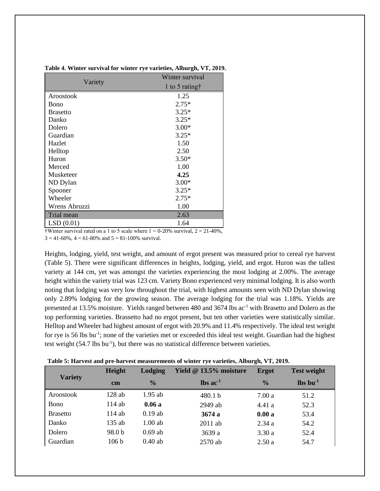|                 | Winter survival         |
|-----------------|-------------------------|
| Variety         | 1 to 5 rating $\dagger$ |
| Aroostook       | 1.25                    |
| Bono            | $2.75*$                 |
| <b>Brasetto</b> | $3.25*$                 |
| Danko           | $3.25*$                 |
| Dolero          | $3.00*$                 |
| Guardian        | $3.25*$                 |
| Hazlet          | 1.50                    |
| Helltop         | 2.50                    |
| Huron           | $3.50*$                 |
| Merced          | 1.00                    |
| Musketeer       | 4.25                    |
| ND Dylan        | $3.00*$                 |
| Spooner         | $3.25*$                 |
| Wheeler         | $2.75*$                 |
| Wrens Abruzzi   | 1.00                    |
| Trial mean      | 2.63                    |
| LSD(0.01)       | 1.64                    |

**Table 4. Winter survival for winter rye varieties, Alburgh, VT, 2019.**

†Winter survival rated on a 1 to 5 scale where  $1 = 0-20\%$  survival,  $2 = 21-40\%$ ,  $3 = 41-60\%$ ,  $4 = 61-80\%$  and  $5 = 81-100\%$  survival.

Heights, lodging, yield, test weight, and amount of ergot present was measured prior to cereal rye harvest (Table 5). There were significant differences in heights, lodging, yield, and ergot. Huron was the tallest variety at 144 cm, yet was amongst the varieties experiencing the most lodging at 2.00%. The average height within the variety trial was 123 cm. Variety Bono experienced very minimal lodging. It is also worth noting that lodging was very low throughout the trial, with highest amounts seen with ND Dylan showing only 2.89% lodging for the growing season. The average lodging for the trial was 1.18%. Yields are presented at 13.5% moisture. Yields ranged between 480 and  $3674$  lbs ac<sup>-1</sup> with Brasetto and Dolero as the top performing varieties. Brassetto had no ergot present, but ten other varieties were statistically similar. Helltop and Wheeler had highest amount of ergot with 20.9% and 11.4% respectively. The ideal test weight for rye is 56 lbs bu<sup>-1</sup>; none of the varieties met or exceeded this ideal test weight. Guardian had the highest test weight (54.7 lbs bu<sup>-1</sup>), but there was no statistical difference between varieties.

**Table 5: Harvest and pre-harvest measurements of winter rye varieties, Alburgh, VT, 2019.**

|                 | Height           | <b>Lodging</b> | Yield @ 13.5% moisture        | <b>Ergot</b>  | <b>Test weight</b>             |
|-----------------|------------------|----------------|-------------------------------|---------------|--------------------------------|
| <b>Variety</b>  | cm               | $\frac{0}{0}$  | $\text{lbs}$ ac <sup>-1</sup> | $\frac{0}{0}$ | $\mathbf{lbs}\mathbf{bu}^{-1}$ |
| Aroostook       | $128$ ab         | $1.95$ ab      | 480.1 b                       | 7.00 a        | 51.2                           |
| <b>Bono</b>     | 114 ab           | 0.06a          | 2949 ab                       | 4.41 a        | 52.3                           |
| <b>Brasetto</b> | 114 ab           | $0.19$ ab      | 3674a                         | 0.00a         | 53.4                           |
| Danko           | 135 ab           | $1.00$ ab      | $2011$ ab                     | 2.34a         | 54.2                           |
| Dolero          | 98.0 b           | $0.69$ ab      | 3639 a                        | 3.30a         | 52.4                           |
| Guardian        | 106 <sub>b</sub> | $0.40$ ab      | 2570 ab                       | 2.50a         | 54.7                           |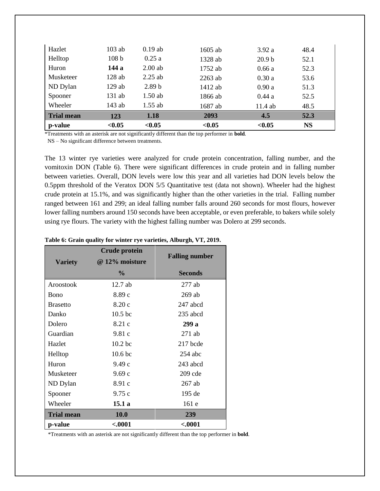| Hazlet            | $103$ ab         | $0.19$ ab         | $1605$ ab | 3.92a             | 48.4      |
|-------------------|------------------|-------------------|-----------|-------------------|-----------|
| Helltop           | 108 <sub>b</sub> | 0.25a             | 1328 ab   | 20.9 <sub>b</sub> | 52.1      |
| Huron             | 144 a            | $2.00$ ab         | 1752 ab   | 0.66a             | 52.3      |
| Musketeer         | $128$ ab         | $2.25$ ab         | $2263$ ab | 0.30a             | 53.6      |
| ND Dylan          | $129$ ab         | 2.89 <sub>b</sub> | 1412 ab   | 0.90a             | 51.3      |
| Spooner           | $131$ ab         | $1.50$ ab         | 1866 ab   | 0.44a             | 52.5      |
| Wheeler           | 143 ab           | $1.55$ ab         | 1687 ab   | 11.4 ab           | 48.5      |
| <b>Trial mean</b> | 123              | 1.18              | 2093      | 4.5               | 52.3      |
| p-value           | < 0.05           | < 0.05            | < 0.05    | < 0.05            | <b>NS</b> |

\*Treatments with an asterisk are not significantly different than the top performer in **bold**.

NS – No significant difference between treatments.

The 13 winter rye varieties were analyzed for crude protein concentration, falling number, and the vomitoxin DON (Table 6). There were significant differences in crude protein and in falling number between varieties. Overall, DON levels were low this year and all varieties had DON levels below the 0.5ppm threshold of the Veratox DON 5/5 Quantitative test (data not shown). Wheeler had the highest crude protein at 15.1%, and was significantly higher than the other varieties in the trial. Falling number ranged between 161 and 299; an ideal falling number falls around 260 seconds for most flours, however lower falling numbers around 150 seconds have been acceptable, or even preferable, to bakers while solely using rye flours. The variety with the highest falling number was Dolero at 299 seconds.

| Table 6: Grain quality for winter rye varieties, Alburgh, VT, 2019. |                 |  |  |
|---------------------------------------------------------------------|-----------------|--|--|
|                                                                     | $\sim$ 1 $\sim$ |  |  |

|                   | <b>Crude protein</b> |                       |
|-------------------|----------------------|-----------------------|
| <b>Variety</b>    | @ 12% moisture       | <b>Falling number</b> |
|                   | $\frac{6}{9}$        | <b>Seconds</b>        |
| Aroostook         | $12.7$ ab            | $277$ ab              |
| <b>B</b> ono      | 8.89c                | $269$ ab              |
| <b>Brasetto</b>   | 8.20c                | 247 abcd              |
| Danko             | 10.5 <sub>bc</sub>   | $235$ abcd            |
| Dolero            | 8.21 c               | 299 a                 |
| Guardian          | 9.81c                | $271$ ab              |
| Hazlet            | 10.2 <sub>bc</sub>   | $217$ bcde            |
| Helltop           | 10.6 <sub>bc</sub>   | $254$ abc             |
| Huron             | 9.49c                | 243 abcd              |
| <b>Musketeer</b>  | 9.69c                | 209 cde               |
| ND Dylan          | 8.91 c               | $267$ ab              |
| Spooner           | 9.75c                | 195 de                |
| Wheeler           | 15.1a                | 161e                  |
| <b>Trial mean</b> | <b>10.0</b>          | 239                   |
| p-value           | < 0001               | < 0001                |

\*Treatments with an asterisk are not significantly different than the top performer in **bold**.